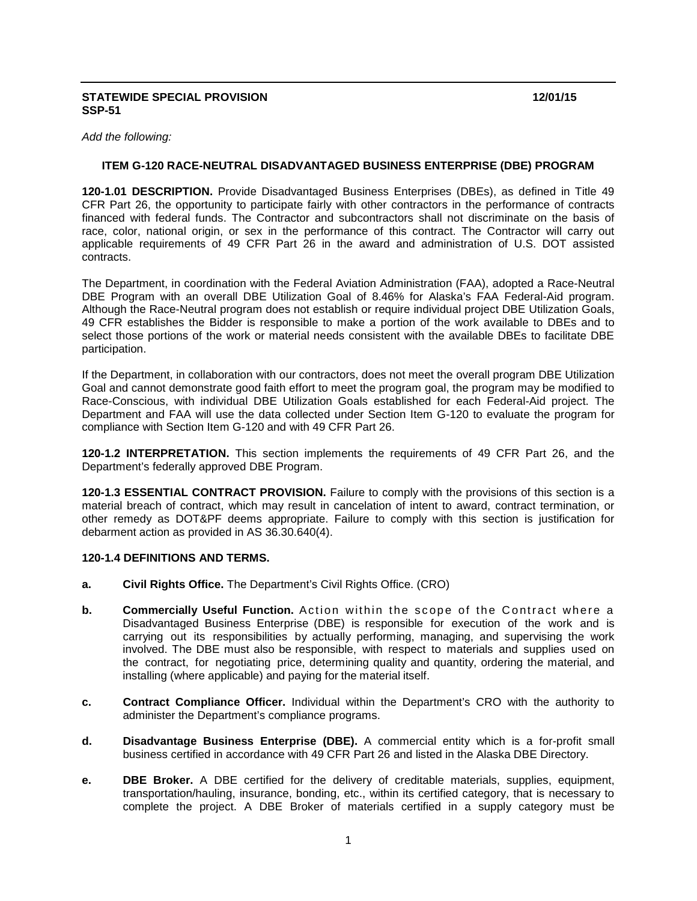### **STATEWIDE SPECIAL PROVISION 12/01/15 SSP-51**

*Add the following:*

## **ITEM G-120 RACE-NEUTRAL DISADVANTAGED BUSINESS ENTERPRISE (DBE) PROGRAM**

**120-1.01 DESCRIPTION.** Provide Disadvantaged Business Enterprises (DBEs), as defined in Title 49 CFR Part 26, the opportunity to participate fairly with other contractors in the performance of contracts financed with federal funds. The Contractor and subcontractors shall not discriminate on the basis of race, color, national origin, or sex in the performance of this contract. The Contractor will carry out applicable requirements of 49 CFR Part 26 in the award and administration of U.S. DOT assisted contracts.

The Department, in coordination with the Federal Aviation Administration (FAA), adopted a Race-Neutral DBE Program with an overall DBE Utilization Goal of 8.46% for Alaska's FAA Federal-Aid program. Although the Race-Neutral program does not establish or require individual project DBE Utilization Goals, 49 CFR establishes the Bidder is responsible to make a portion of the work available to DBEs and to select those portions of the work or material needs consistent with the available DBEs to facilitate DBE participation.

If the Department, in collaboration with our contractors, does not meet the overall program DBE Utilization Goal and cannot demonstrate good faith effort to meet the program goal, the program may be modified to Race-Conscious, with individual DBE Utilization Goals established for each Federal-Aid project. The Department and FAA will use the data collected under Section Item G-120 to evaluate the program for compliance with Section Item G-120 and with 49 CFR Part 26.

**120-1.2 INTERPRETATION.** This section implements the requirements of 49 CFR Part 26, and the Department's federally approved DBE Program.

**120-1.3 ESSENTIAL CONTRACT PROVISION.** Failure to comply with the provisions of this section is a material breach of contract, which may result in cancelation of intent to award, contract termination, or other remedy as DOT&PF deems appropriate. Failure to comply with this section is justification for debarment action as provided in AS 36.30.640(4).

### **120-1.4 DEFINITIONS AND TERMS.**

- **a. Civil Rights Office.** The Department's Civil Rights Office. (CRO)
- **b. Commercially Useful Function.** Action within the scope of the Contract where a Disadvantaged Business Enterprise (DBE) is responsible for execution of the work and is carrying out its responsibilities by actually performing, managing, and supervising the work involved. The DBE must also be responsible, with respect to materials and supplies used on the contract, for negotiating price, determining quality and quantity, ordering the material, and installing (where applicable) and paying for the material itself.
- **c. Contract Compliance Officer.** Individual within the Department's CRO with the authority to administer the Department's compliance programs.
- **d. Disadvantage Business Enterprise (DBE).** A commercial entity which is a for-profit small business certified in accordance with 49 CFR Part 26 and listed in the Alaska DBE Directory.
- **e. DBE Broker.** A DBE certified for the delivery of creditable materials, supplies, equipment, transportation/hauling, insurance, bonding, etc., within its certified category, that is necessary to complete the project. A DBE Broker of materials certified in a supply category must be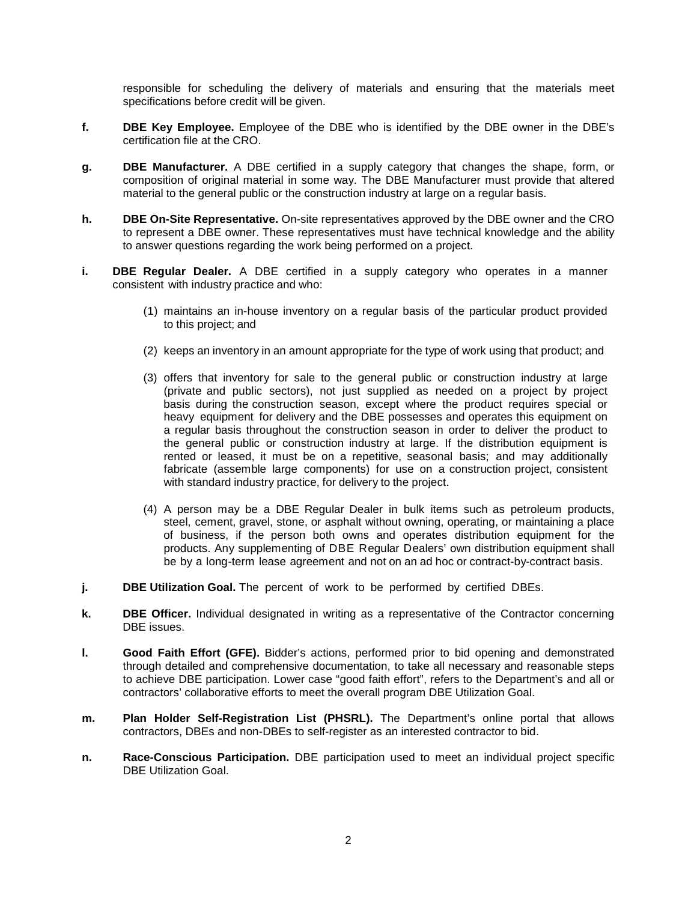responsible for scheduling the delivery of materials and ensuring that the materials meet specifications before credit will be given.

- **f. DBE Key Employee.** Employee of the DBE who is identified by the DBE owner in the DBE's certification file at the CRO.
- **g. DBE Manufacturer.** A DBE certified in a supply category that changes the shape, form, or composition of original material in some way. The DBE Manufacturer must provide that altered material to the general public or the construction industry at large on a regular basis.
- **h. DBE On-Site Representative.** On-site representatives approved by the DBE owner and the CRO to represent a DBE owner. These representatives must have technical knowledge and the ability to answer questions regarding the work being performed on a project.
- **i. DBE Regular Dealer.** A DBE certified in a supply category who operates in a manner consistent with industry practice and who:
	- (1) maintains an in-house inventory on a regular basis of the particular product provided to this project; and
	- (2) keeps an inventory in an amount appropriate for the type of work using that product; and
	- (3) offers that inventory for sale to the general public or construction industry at large (private and public sectors), not just supplied as needed on a project by project basis during the construction season, except where the product requires special or heavy equipment for delivery and the DBE possesses and operates this equipment on a regular basis throughout the construction season in order to deliver the product to the general public or construction industry at large. If the distribution equipment is rented or leased, it must be on a repetitive, seasonal basis; and may additionally fabricate (assemble large components) for use on a construction project, consistent with standard industry practice, for delivery to the project.
	- (4) A person may be a DBE Regular Dealer in bulk items such as petroleum products, steel, cement, gravel, stone, or asphalt without owning, operating, or maintaining a place of business, if the person both owns and operates distribution equipment for the products. Any supplementing of DBE Regular Dealers' own distribution equipment shall be by a long-term lease agreement and not on an ad hoc or contract-by-contract basis.
- **j. DBE Utilization Goal.** The percent of work to be performed by certified DBEs.
- **k. DBE Officer.** Individual designated in writing as a representative of the Contractor concerning DBE issues.
- **l. Good Faith Effort (GFE).** Bidder's actions, performed prior to bid opening and demonstrated through detailed and comprehensive documentation, to take all necessary and reasonable steps to achieve DBE participation. Lower case "good faith effort", refers to the Department's and all or contractors' collaborative efforts to meet the overall program DBE Utilization Goal.
- **m. Plan Holder Self-Registration List (PHSRL).** The Department's online portal that allows contractors, DBEs and non-DBEs to self-register as an interested contractor to bid.
- **n. Race-Conscious Participation.** DBE participation used to meet an individual project specific DBE Utilization Goal.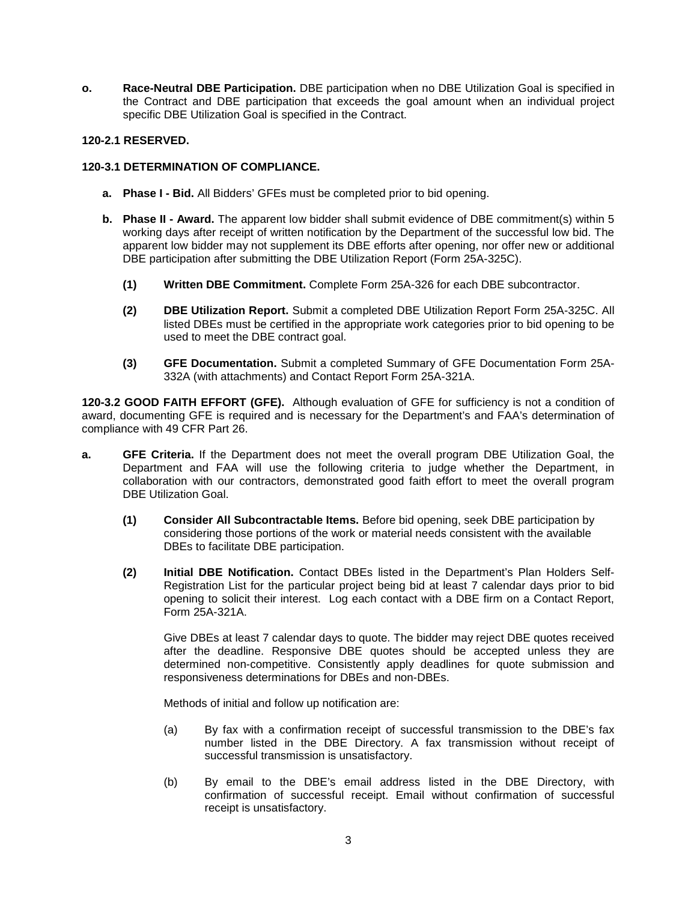**o. Race-Neutral DBE Participation.** DBE participation when no DBE Utilization Goal is specified in the Contract and DBE participation that exceeds the goal amount when an individual project specific DBE Utilization Goal is specified in the Contract.

## **120-2.1 RESERVED.**

## **120-3.1 DETERMINATION OF COMPLIANCE.**

- **a. Phase I - Bid.** All Bidders' GFEs must be completed prior to bid opening.
- **b. Phase II - Award.** The apparent low bidder shall submit evidence of DBE commitment(s) within 5 working days after receipt of written notification by the Department of the successful low bid. The apparent low bidder may not supplement its DBE efforts after opening, nor offer new or additional DBE participation after submitting the DBE Utilization Report (Form 25A-325C).
	- **(1) Written DBE Commitment.** Complete Form 25A-326 for each DBE subcontractor.
	- **(2) DBE Utilization Report.** Submit a completed DBE Utilization Report Form 25A-325C. All listed DBEs must be certified in the appropriate work categories prior to bid opening to be used to meet the DBE contract goal.
	- **(3) GFE Documentation.** Submit a completed Summary of GFE Documentation Form 25A-332A (with attachments) and Contact Report Form 25A-321A.

**120-3.2 GOOD FAITH EFFORT (GFE).** Although evaluation of GFE for sufficiency is not a condition of award, documenting GFE is required and is necessary for the Department's and FAA's determination of compliance with 49 CFR Part 26.

- **a. GFE Criteria.** If the Department does not meet the overall program DBE Utilization Goal, the Department and FAA will use the following criteria to judge whether the Department, in collaboration with our contractors, demonstrated good faith effort to meet the overall program DBE Utilization Goal.
	- **(1) Consider All Subcontractable Items.** Before bid opening, seek DBE participation by considering those portions of the work or material needs consistent with the available DBEs to facilitate DBE participation.
	- **(2) Initial DBE Notification.** Contact DBEs listed in the Department's Plan Holders Self-Registration List for the particular project being bid at least 7 calendar days prior to bid opening to solicit their interest. Log each contact with a DBE firm on a Contact Report, Form 25A-321A.

Give DBEs at least 7 calendar days to quote. The bidder may reject DBE quotes received after the deadline. Responsive DBE quotes should be accepted unless they are determined non-competitive. Consistently apply deadlines for quote submission and responsiveness determinations for DBEs and non-DBEs.

Methods of initial and follow up notification are:

- (a) By fax with a confirmation receipt of successful transmission to the DBE's fax number listed in the DBE Directory. A fax transmission without receipt of successful transmission is unsatisfactory.
- (b) By email to the DBE's email address listed in the DBE Directory, with confirmation of successful receipt. Email without confirmation of successful receipt is unsatisfactory.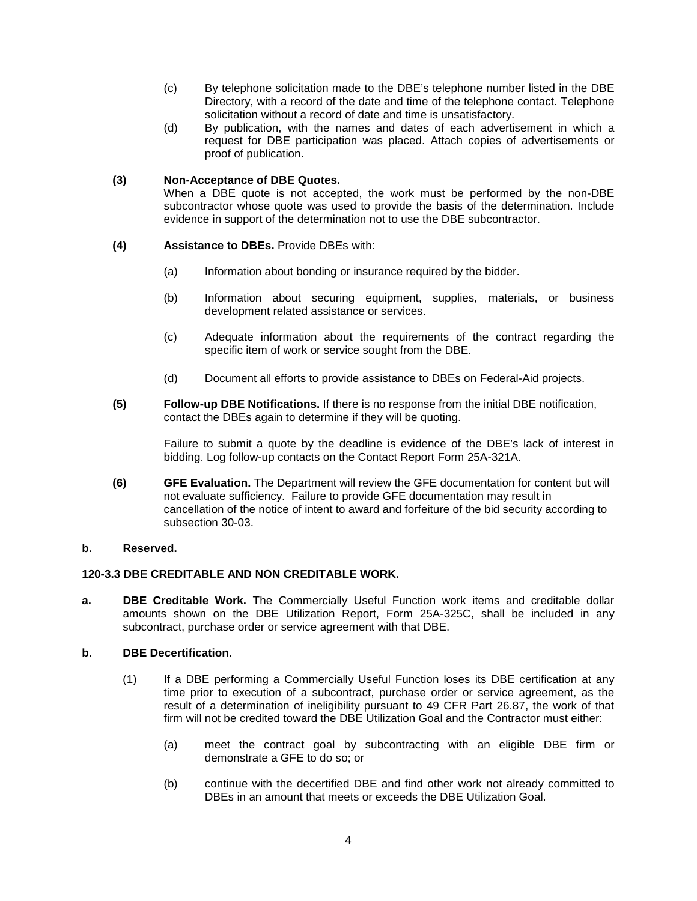- (c) By telephone solicitation made to the DBE's telephone number listed in the DBE Directory, with a record of the date and time of the telephone contact. Telephone solicitation without a record of date and time is unsatisfactory.
- (d) By publication, with the names and dates of each advertisement in which a request for DBE participation was placed. Attach copies of advertisements or proof of publication.

## **(3) Non-Acceptance of DBE Quotes.**

When a DBE quote is not accepted, the work must be performed by the non-DBE subcontractor whose quote was used to provide the basis of the determination. Include evidence in support of the determination not to use the DBE subcontractor.

## **(4) Assistance to DBEs.** Provide DBEs with:

- (a) Information about bonding or insurance required by the bidder.
- (b) Information about securing equipment, supplies, materials, or business development related assistance or services.
- (c) Adequate information about the requirements of the contract regarding the specific item of work or service sought from the DBE.
- (d) Document all efforts to provide assistance to DBEs on Federal-Aid projects.
- **(5) Follow-up DBE Notifications.** If there is no response from the initial DBE notification, contact the DBEs again to determine if they will be quoting.

Failure to submit a quote by the deadline is evidence of the DBE's lack of interest in bidding. Log follow-up contacts on the Contact Report Form 25A-321A.

**(6) GFE Evaluation.** The Department will review the GFE documentation for content but will not evaluate sufficiency. Failure to provide GFE documentation may result in cancellation of the notice of intent to award and forfeiture of the bid security according to subsection 30-03.

### **b. Reserved.**

### **120-3.3 DBE CREDITABLE AND NON CREDITABLE WORK.**

**a. DBE Creditable Work.** The Commercially Useful Function work items and creditable dollar amounts shown on the DBE Utilization Report, Form 25A-325C, shall be included in any subcontract, purchase order or service agreement with that DBE.

### **b. DBE Decertification.**

- (1) If a DBE performing a Commercially Useful Function loses its DBE certification at any time prior to execution of a subcontract, purchase order or service agreement, as the result of a determination of ineligibility pursuant to 49 CFR Part 26.87, the work of that firm will not be credited toward the DBE Utilization Goal and the Contractor must either:
	- (a) meet the contract goal by subcontracting with an eligible DBE firm or demonstrate a GFE to do so; or
	- (b) continue with the decertified DBE and find other work not already committed to DBEs in an amount that meets or exceeds the DBE Utilization Goal.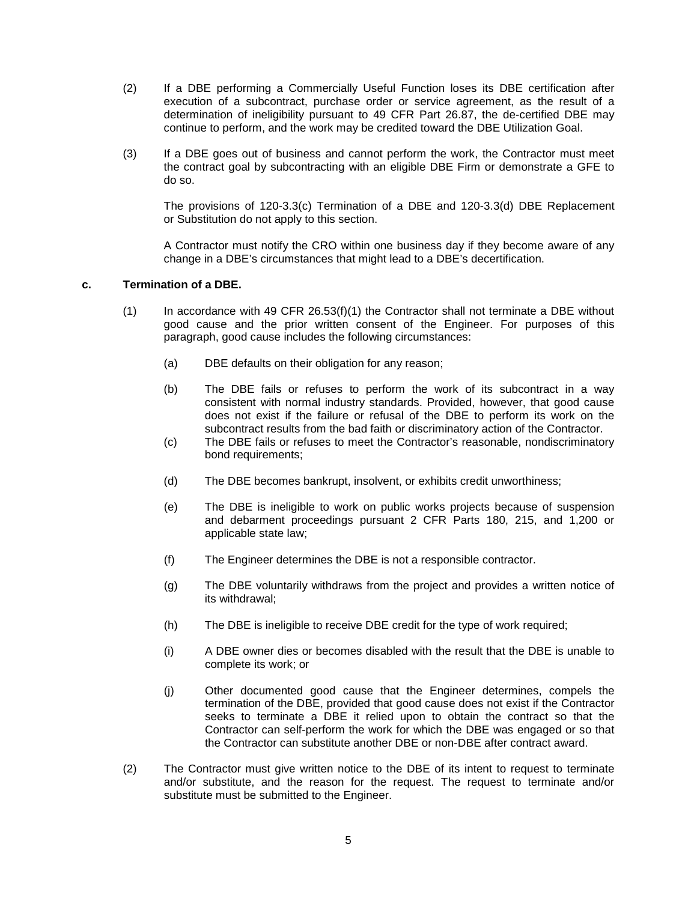- (2) If a DBE performing a Commercially Useful Function loses its DBE certification after execution of a subcontract, purchase order or service agreement, as the result of a determination of ineligibility pursuant to 49 CFR Part 26.87, the de-certified DBE may continue to perform, and the work may be credited toward the DBE Utilization Goal.
- (3) If a DBE goes out of business and cannot perform the work, the Contractor must meet the contract goal by subcontracting with an eligible DBE Firm or demonstrate a GFE to do so.

The provisions of 120-3.3(c) Termination of a DBE and 120-3.3(d) DBE Replacement or Substitution do not apply to this section.

A Contractor must notify the CRO within one business day if they become aware of any change in a DBE's circumstances that might lead to a DBE's decertification.

### **c. Termination of a DBE.**

- $(1)$  In accordance with 49 CFR 26.53(f)(1) the Contractor shall not terminate a DBE without good cause and the prior written consent of the Engineer. For purposes of this paragraph, good cause includes the following circumstances:
	- (a) DBE defaults on their obligation for any reason;
	- (b) The DBE fails or refuses to perform the work of its subcontract in a way consistent with normal industry standards. Provided, however, that good cause does not exist if the failure or refusal of the DBE to perform its work on the subcontract results from the bad faith or discriminatory action of the Contractor.
	- (c) The DBE fails or refuses to meet the Contractor's reasonable, nondiscriminatory bond requirements;
	- (d) The DBE becomes bankrupt, insolvent, or exhibits credit unworthiness;
	- (e) The DBE is ineligible to work on public works projects because of suspension and debarment proceedings pursuant 2 CFR Parts 180, 215, and 1,200 or applicable state law;
	- (f) The Engineer determines the DBE is not a responsible contractor.
	- (g) The DBE voluntarily withdraws from the project and provides a written notice of its withdrawal;
	- (h) The DBE is ineligible to receive DBE credit for the type of work required;
	- (i) A DBE owner dies or becomes disabled with the result that the DBE is unable to complete its work; or
	- (j) Other documented good cause that the Engineer determines, compels the termination of the DBE, provided that good cause does not exist if the Contractor seeks to terminate a DBE it relied upon to obtain the contract so that the Contractor can self-perform the work for which the DBE was engaged or so that the Contractor can substitute another DBE or non-DBE after contract award.
- (2) The Contractor must give written notice to the DBE of its intent to request to terminate and/or substitute, and the reason for the request. The request to terminate and/or substitute must be submitted to the Engineer.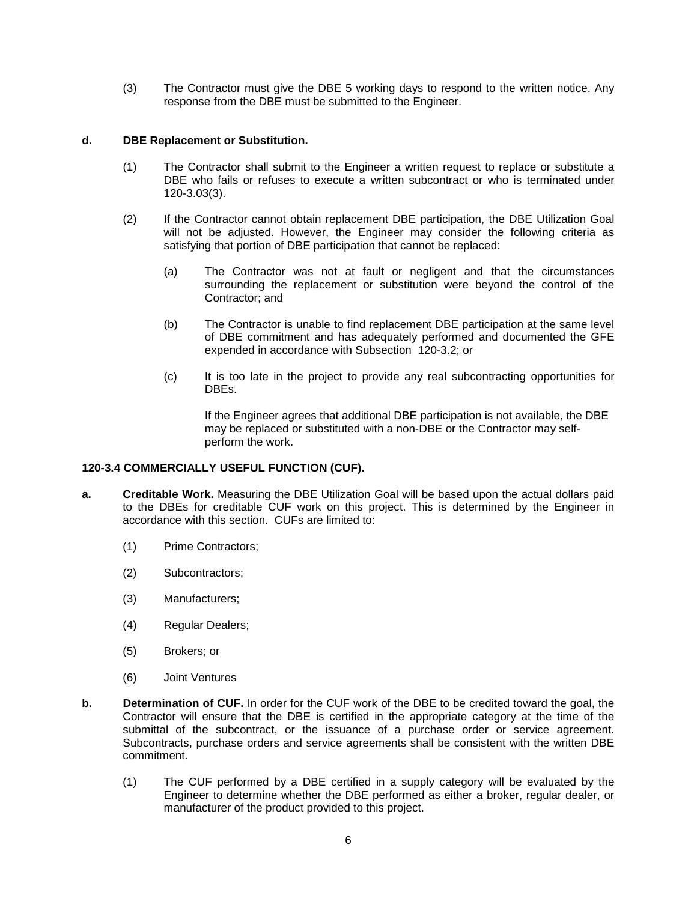(3) The Contractor must give the DBE 5 working days to respond to the written notice. Any response from the DBE must be submitted to the Engineer.

# **d. DBE Replacement or Substitution.**

- (1) The Contractor shall submit to the Engineer a written request to replace or substitute a DBE who fails or refuses to execute a written subcontract or who is terminated under 120-3.03(3).
- (2) If the Contractor cannot obtain replacement DBE participation, the DBE Utilization Goal will not be adjusted. However, the Engineer may consider the following criteria as satisfying that portion of DBE participation that cannot be replaced:
	- (a) The Contractor was not at fault or negligent and that the circumstances surrounding the replacement or substitution were beyond the control of the Contractor; and
	- (b) The Contractor is unable to find replacement DBE participation at the same level of DBE commitment and has adequately performed and documented the GFE expended in accordance with Subsection 120-3.2; or
	- (c) It is too late in the project to provide any real subcontracting opportunities for DBEs.

If the Engineer agrees that additional DBE participation is not available, the DBE may be replaced or substituted with a non-DBE or the Contractor may selfperform the work.

### **120-3.4 COMMERCIALLY USEFUL FUNCTION (CUF).**

- **a. Creditable Work.** Measuring the DBE Utilization Goal will be based upon the actual dollars paid to the DBEs for creditable CUF work on this project. This is determined by the Engineer in accordance with this section. CUFs are limited to:
	- (1) Prime Contractors;
	- (2) Subcontractors;
	- (3) Manufacturers;
	- (4) Regular Dealers;
	- (5) Brokers; or
	- (6) Joint Ventures
- **b. Determination of CUF.** In order for the CUF work of the DBE to be credited toward the goal, the Contractor will ensure that the DBE is certified in the appropriate category at the time of the submittal of the subcontract, or the issuance of a purchase order or service agreement. Subcontracts, purchase orders and service agreements shall be consistent with the written DBE commitment.
	- (1) The CUF performed by a DBE certified in a supply category will be evaluated by the Engineer to determine whether the DBE performed as either a broker, regular dealer, or manufacturer of the product provided to this project.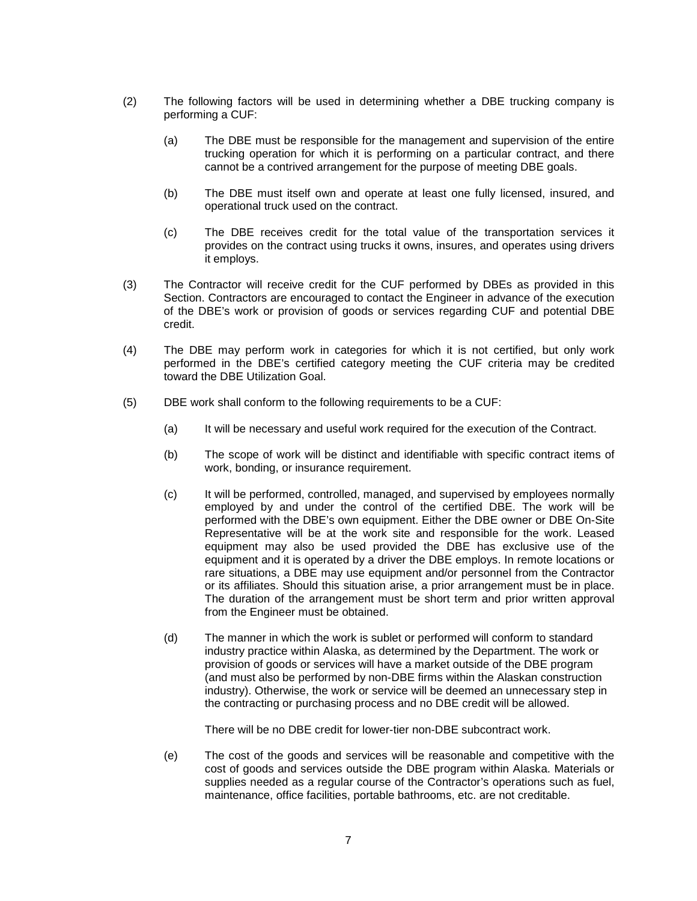- (2) The following factors will be used in determining whether a DBE trucking company is performing a CUF:
	- (a) The DBE must be responsible for the management and supervision of the entire trucking operation for which it is performing on a particular contract, and there cannot be a contrived arrangement for the purpose of meeting DBE goals.
	- (b) The DBE must itself own and operate at least one fully licensed, insured, and operational truck used on the contract.
	- (c) The DBE receives credit for the total value of the transportation services it provides on the contract using trucks it owns, insures, and operates using drivers it employs.
- (3) The Contractor will receive credit for the CUF performed by DBEs as provided in this Section. Contractors are encouraged to contact the Engineer in advance of the execution of the DBE's work or provision of goods or services regarding CUF and potential DBE credit.
- (4) The DBE may perform work in categories for which it is not certified, but only work performed in the DBE's certified category meeting the CUF criteria may be credited toward the DBE Utilization Goal.
- (5) DBE work shall conform to the following requirements to be a CUF:
	- (a) It will be necessary and useful work required for the execution of the Contract.
	- (b) The scope of work will be distinct and identifiable with specific contract items of work, bonding, or insurance requirement.
	- (c) It will be performed, controlled, managed, and supervised by employees normally employed by and under the control of the certified DBE. The work will be performed with the DBE's own equipment. Either the DBE owner or DBE On-Site Representative will be at the work site and responsible for the work. Leased equipment may also be used provided the DBE has exclusive use of the equipment and it is operated by a driver the DBE employs. In remote locations or rare situations, a DBE may use equipment and/or personnel from the Contractor or its affiliates. Should this situation arise, a prior arrangement must be in place. The duration of the arrangement must be short term and prior written approval from the Engineer must be obtained.
	- (d) The manner in which the work is sublet or performed will conform to standard industry practice within Alaska, as determined by the Department. The work or provision of goods or services will have a market outside of the DBE program (and must also be performed by non-DBE firms within the Alaskan construction industry). Otherwise, the work or service will be deemed an unnecessary step in the contracting or purchasing process and no DBE credit will be allowed.

There will be no DBE credit for lower-tier non-DBE subcontract work.

(e) The cost of the goods and services will be reasonable and competitive with the cost of goods and services outside the DBE program within Alaska. Materials or supplies needed as a regular course of the Contractor's operations such as fuel, maintenance, office facilities, portable bathrooms, etc. are not creditable.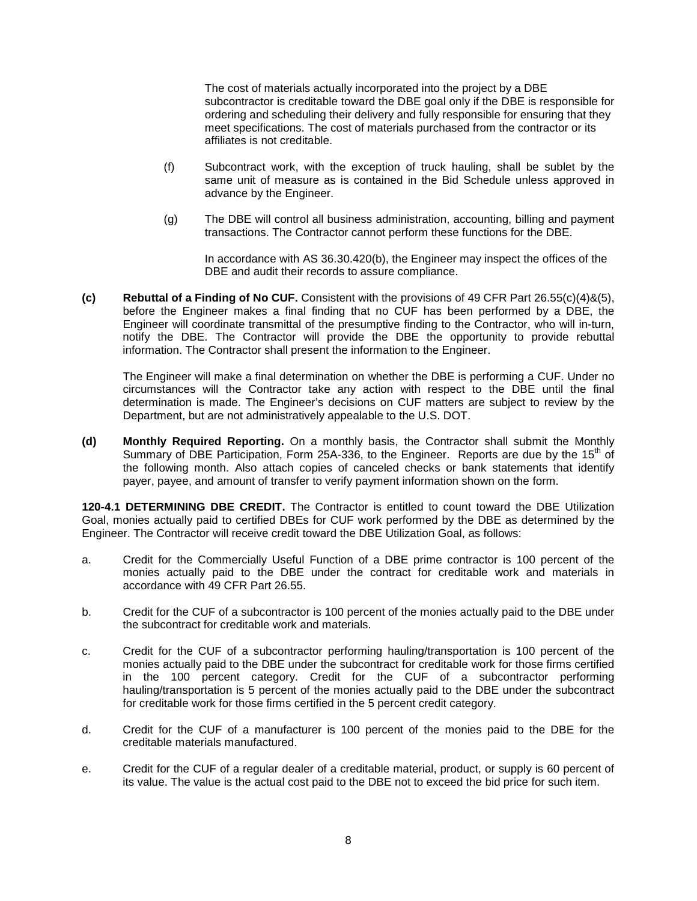The cost of materials actually incorporated into the project by a DBE subcontractor is creditable toward the DBE goal only if the DBE is responsible for ordering and scheduling their delivery and fully responsible for ensuring that they meet specifications. The cost of materials purchased from the contractor or its affiliates is not creditable.

- (f) Subcontract work, with the exception of truck hauling, shall be sublet by the same unit of measure as is contained in the Bid Schedule unless approved in advance by the Engineer.
- (g) The DBE will control all business administration, accounting, billing and payment transactions. The Contractor cannot perform these functions for the DBE.

In accordance with AS 36.30.420(b), the Engineer may inspect the offices of the DBE and audit their records to assure compliance.

**(c) Rebuttal of a Finding of No CUF.** Consistent with the provisions of 49 CFR Part 26.55(c)(4)&(5), before the Engineer makes a final finding that no CUF has been performed by a DBE, the Engineer will coordinate transmittal of the presumptive finding to the Contractor, who will in-turn, notify the DBE. The Contractor will provide the DBE the opportunity to provide rebuttal information. The Contractor shall present the information to the Engineer.

The Engineer will make a final determination on whether the DBE is performing a CUF. Under no circumstances will the Contractor take any action with respect to the DBE until the final determination is made. The Engineer's decisions on CUF matters are subject to review by the Department, but are not administratively appealable to the U.S. DOT.

**(d) Monthly Required Reporting.** On a monthly basis, the Contractor shall submit the Monthly Summary of DBE Participation, Form 25A-336, to the Engineer. Reports are due by the 15<sup>th</sup> of the following month. Also attach copies of canceled checks or bank statements that identify payer, payee, and amount of transfer to verify payment information shown on the form.

**120-4.1 DETERMINING DBE CREDIT.** The Contractor is entitled to count toward the DBE Utilization Goal, monies actually paid to certified DBEs for CUF work performed by the DBE as determined by the Engineer. The Contractor will receive credit toward the DBE Utilization Goal, as follows:

- a. Credit for the Commercially Useful Function of a DBE prime contractor is 100 percent of the monies actually paid to the DBE under the contract for creditable work and materials in accordance with 49 CFR Part 26.55.
- b. Credit for the CUF of a subcontractor is 100 percent of the monies actually paid to the DBE under the subcontract for creditable work and materials.
- c. Credit for the CUF of a subcontractor performing hauling/transportation is 100 percent of the monies actually paid to the DBE under the subcontract for creditable work for those firms certified in the 100 percent category. Credit for the CUF of a subcontractor performing hauling/transportation is 5 percent of the monies actually paid to the DBE under the subcontract for creditable work for those firms certified in the 5 percent credit category.
- d. Credit for the CUF of a manufacturer is 100 percent of the monies paid to the DBE for the creditable materials manufactured.
- e. Credit for the CUF of a regular dealer of a creditable material, product, or supply is 60 percent of its value. The value is the actual cost paid to the DBE not to exceed the bid price for such item.